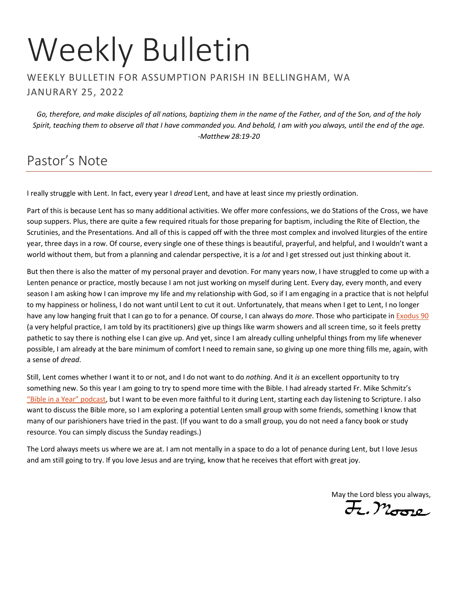# Weekly Bulletin

#### WEEKLY BULLETIN FOR ASSUMPTION PARISH IN BELLINGHAM, WA JANURARY 25, 2022

*Go, therefore, and make disciples of all nations, baptizing them in the name of the Father, and of the Son, and of the holy Spirit, teaching them to observe all that I have commanded you. And behold, I am with you always, until the end of the age. -Matthew 28:19-20*

## Pastor's Note

I really struggle with Lent. In fact, every year I *dread* Lent, and have at least since my priestly ordination.

Part of this is because Lent has so many additional activities. We offer more confessions, we do Stations of the Cross, we have soup suppers. Plus, there are quite a few required rituals for those preparing for baptism, including the Rite of Election, the Scrutinies, and the Presentations. And all of this is capped off with the three most complex and involved liturgies of the entire year, three days in a row. Of course, every single one of these things is beautiful, prayerful, and helpful, and I wouldn't want a world without them, but from a planning and calendar perspective, it is a *lot* and I get stressed out just thinking about it.

But then there is also the matter of my personal prayer and devotion. For many years now, I have struggled to come up with a Lenten penance or practice, mostly because I am not just working on myself during Lent. Every day, every month, and every season I am asking how I can improve my life and my relationship with God, so if I am engaging in a practice that is not helpful to my happiness or holiness, I do not want until Lent to cut it out. Unfortunately, that means when I get to Lent, I no longer have any low hanging fruit that I can go to for a penance. Of course, I can always do *more*. Those who participate i[n Exodus 90](https://ucatholic.com/exodus90) (a very helpful practice, I am told by its practitioners) give up things like warm showers and all screen time, so it feels pretty pathetic to say there is nothing else I can give up. And yet, since I am already culling unhelpful things from my life whenever possible, I am already at the bare minimum of comfort I need to remain sane, so giving up one more thing fills me, again, with a sense of *dread*.

Still, Lent comes whether I want it to or not, and I do not want to do *nothing*. And it *is* an excellent opportunity to try something new. So this year I am going to try to spend more time with the Bible. I had already started Fr. Mike Schmitz's ["Bible in a Year" podcast](https://media.ascensionpress.com/category/ascension-podcasts/bibleinayear/), but I want to be even more faithful to it during Lent, starting each day listening to Scripture. I also want to discuss the Bible more, so I am exploring a potential Lenten small group with some friends, something I know that many of our parishioners have tried in the past. (If you want to do a small group, you do not need a fancy book or study resource. You can simply discuss the Sunday readings.)

The Lord always meets us where we are at. I am not mentally in a space to do a lot of penance during Lent, but I love Jesus and am still going to try. If you love Jesus and are trying, know that he receives that effort with great joy.

May the Lord bless you always,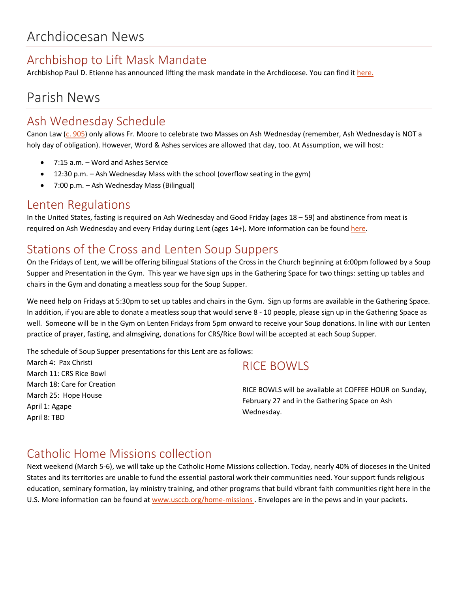## Archbishop to Lift Mask Mandate

Archbishop Paul D. Etienne has announced lifting the mask mandate in the Archdiocese. You can find it [here.](https://archseattle.org/wp-content/uploads/2022/02/ABE-letter-on-mask-mandate-Final.pdf)

## Parish News

## Ash Wednesday Schedule

Canon Law [\(c. 905\)](https://www.vatican.va/archive/cod-iuris-canonici/eng/documents/cic_lib4-cann879-958_en.html#Art._1.) only allows Fr. Moore to celebrate two Masses on Ash Wednesday (remember, Ash Wednesday is NOT a holy day of obligation). However, Word & Ashes services are allowed that day, too. At Assumption, we will host:

- 7:15 a.m. Word and Ashes Service
- 12:30 p.m. Ash Wednesday Mass with the school (overflow seating in the gym)
- 7:00 p.m. Ash Wednesday Mass (Bilingual)

## Lenten Regulations

In the United States, fasting is required on Ash Wednesday and Good Friday (ages 18 – 59) and abstinence from meat is required on Ash Wednesday and every Friday during Lent (ages 14+). More information can be foun[d here.](https://www.usccb.org/prayer-and-worship/liturgical-year-and-calendar/lent/catholic-information-on-lenten-fast-and-abstinence)

## Stations of the Cross and Lenten Soup Suppers

On the Fridays of Lent, we will be offering bilingual Stations of the Cross in the Church beginning at 6:00pm followed by a Soup Supper and Presentation in the Gym. This year we have sign ups in the Gathering Space for two things: setting up tables and chairs in the Gym and donating a meatless soup for the Soup Supper.

We need help on Fridays at 5:30pm to set up tables and chairs in the Gym. Sign up forms are available in the Gathering Space. In addition, if you are able to donate a meatless soup that would serve 8 - 10 people, please sign up in the Gathering Space as well. Someone will be in the Gym on Lenten Fridays from 5pm onward to receive your Soup donations. In line with our Lenten practice of prayer, fasting, and almsgiving, donations for CRS/Rice Bowl will be accepted at each Soup Supper.

The schedule of Soup Supper presentations for this Lent are as follows:

March 4: Pax Christi March 11: CRS Rice Bowl March 18: Care for Creation March 25: Hope House April 1: Agape April 8: TBD

## RICE BOWLS

RICE BOWLS will be available at COFFEE HOUR on Sunday, February 27 and in the Gathering Space on Ash Wednesday.

## Catholic Home Missions collection

Next weekend (March 5-6), we will take up the Catholic Home Missions collection. Today, nearly 40% of dioceses in the United States and its territories are unable to fund the essential pastoral work their communities need. Your support funds religious education, seminary formation, lay ministry training, and other programs that build vibrant faith communities right here in the U.S. More information can be found at [www.usccb.org/home-missions](http://www.usccb.org/home-missions) . Envelopes are in the pews and in your packets.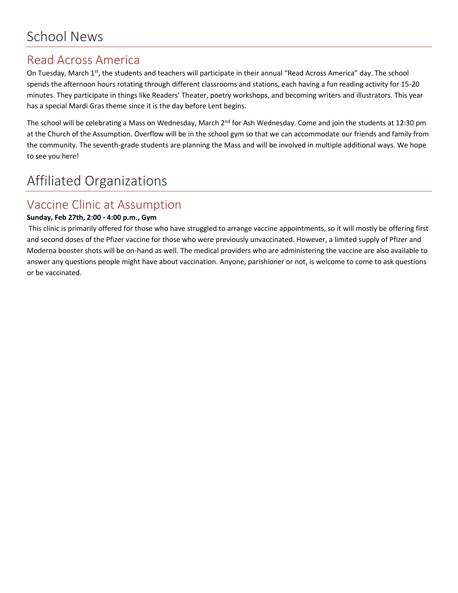## Read Across America

On Tuesday, March 1<sup>st</sup>, the students and teachers will participate in their annual "Read Across America" day. The school spends the afternoon hours rotating through different classrooms and stations, each having a fun reading activity for 15-20 minutes. They participate in things like Readers' Theater, poetry workshops, and becoming writers and illustrators. This year has a special Mardi Gras theme since it is the day before Lent begins.

The school will be celebrating a Mass on Wednesday, March 2<sup>nd</sup> for Ash Wednesday. Come and join the students at 12:30 pm at the Church of the Assumption. Overflow will be in the school gym so that we can accommodate our friends and family from the community. The seventh-grade students are planning the Mass and will be involved in multiple additional ways. We hope to see you here!

# Affiliated Organizations

## Vaccine Clinic at Assumption

#### **Sunday, Feb 27th, 2:00 - 4:00 p.m., Gym**

This clinic is primarily offered for those who have struggled to arrange vaccine appointments, so it will mostly be offering first and second doses of the Pfizer vaccine for those who were previously unvaccinated. However, a limited supply of Pfizer and Moderna booster shots will be on-hand as well. The medical providers who are administering the vaccine are also available to answer any questions people might have about vaccination. Anyone, parishioner or not, is welcome to come to ask questions or be vaccinated.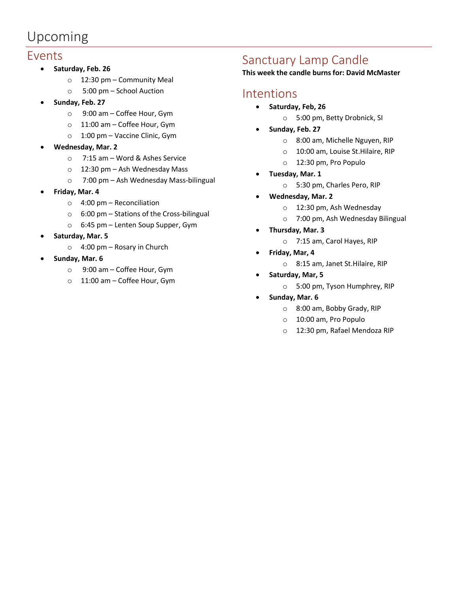# Upcoming

#### Events

- **Saturday, Feb. 26**
	- o 12:30 pm Community Meal
	- o 5:00 pm School Auction
- **Sunday, Feb. 27**
	- o 9:00 am Coffee Hour, Gym
	- o 11:00 am Coffee Hour, Gym
	- o 1:00 pm Vaccine Clinic, Gym
- **Wednesday, Mar. 2**
	- o 7:15 am Word & Ashes Service
	- o 12:30 pm Ash Wednesday Mass
	- o 7:00 pm Ash Wednesday Mass-bilingual
- **Friday, Mar. 4**
	- $\circ$  4:00 pm Reconciliation
	- o 6:00 pm Stations of the Cross-bilingual
	- o 6:45 pm Lenten Soup Supper, Gym
- **Saturday, Mar. 5**
	- o 4:00 pm Rosary in Church
- **Sunday, Mar. 6**
	- o 9:00 am Coffee Hour, Gym
	- o 11:00 am Coffee Hour, Gym

## Sanctuary Lamp Candle

#### **This week the candle burns for: David McMaster**

## Intentions

- **Saturday, Feb, 26**
	- o 5:00 pm, Betty Drobnick, SI
- **Sunday, Feb. 27**
	- o 8:00 am, Michelle Nguyen, RIP
	- o 10:00 am, Louise St.Hilaire, RIP
	- o 12:30 pm, Pro Populo
- **Tuesday, Mar. 1**
	- o 5:30 pm, Charles Pero, RIP
- **Wednesday, Mar. 2**
	- o 12:30 pm, Ash Wednesday
	- o 7:00 pm, Ash Wednesday Bilingual
- **Thursday, Mar. 3**
	- o 7:15 am, Carol Hayes, RIP
- **Friday, Mar, 4**
	- o 8:15 am, Janet St.Hilaire, RIP
- **Saturday, Mar, 5**
	- o 5:00 pm, Tyson Humphrey, RIP
- **Sunday, Mar. 6**
	- o 8:00 am, Bobby Grady, RIP
	- o 10:00 am, Pro Populo
	- o 12:30 pm, Rafael Mendoza RIP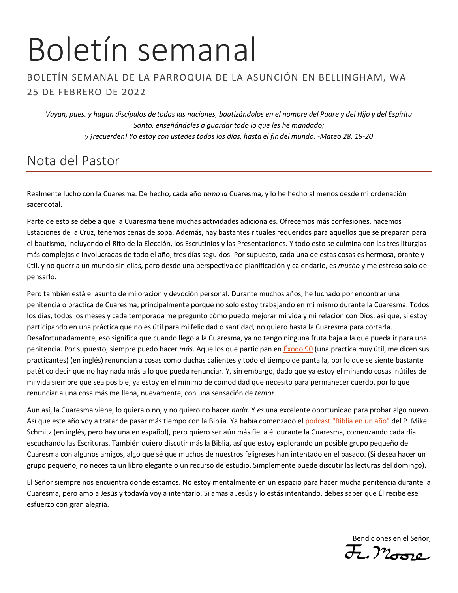# Boletín semanal

### BOLETÍN SEMANAL DE LA PARROQUIA DE LA ASUNCIÓN EN BELLINGHAM, WA 25 DE FEBRERO DE 2022

*Vayan, pues, y hagan discípulos de todas las naciones, bautizándolos en el nombre del Padre y del Hijo y del Espíritu Santo, enseñándoles a guardar todo lo que les he mandado; y ¡recuerden! Yo estoy con ustedes todos los días, hasta el fin del mundo. -Mateo 28, 19-20*

## Nota del Pastor

Realmente lucho con la Cuaresma. De hecho, cada año *temo la* Cuaresma, y lo he hecho al menos desde mi ordenación sacerdotal.

Parte de esto se debe a que la Cuaresma tiene muchas actividades adicionales. Ofrecemos más confesiones, hacemos Estaciones de la Cruz, tenemos cenas de sopa. Además, hay bastantes rituales requeridos para aquellos que se preparan para el bautismo, incluyendo el Rito de la Elección, los Escrutinios y las Presentaciones. Y todo esto se culmina con las tres liturgias más complejas e involucradas de todo el año, tres días seguidos. Por supuesto, cada una de estas cosas es hermosa, orante y útil, y no querría un mundo sin ellas, pero desde una perspectiva de planificación y calendario, es *mucho* y me estreso solo de pensarlo.

Pero también está el asunto de mi oración y devoción personal. Durante muchos años, he luchado por encontrar una penitencia o práctica de Cuaresma, principalmente porque no solo estoy trabajando en mí mismo durante la Cuaresma. Todos los días, todos los meses y cada temporada me pregunto cómo puedo mejorar mi vida y mi relación con Dios, así que, si estoy participando en una práctica que no es útil para mi felicidad o santidad, no quiero hasta la Cuaresma para cortarla. Desafortunadamente, eso significa que cuando llego a la Cuaresma, ya no tengo ninguna fruta baja a la que pueda ir para una penitencia. Por supuesto, siempre puedo hacer *más*. Aquellos que participan en [Éxodo 90](https://ucatholic.com/exodus90) (una práctica muy útil, me dicen sus practicantes) (en inglés) renuncian a cosas como duchas calientes y todo el tiempo de pantalla, por lo que se siente bastante patético decir que no hay nada más a lo que pueda renunciar. Y, sin embargo, dado que ya estoy eliminando cosas inútiles de mi vida siempre que sea posible, ya estoy en el mínimo de comodidad que necesito para permanecer cuerdo, por lo que renunciar a una cosa más me llena, nuevamente, con una sensación de *temor*.

Aún así, la Cuaresma viene, lo quiera o no, y no quiero no hacer *nada*. Y *es* una excelente oportunidad para probar algo nuevo. Así que este año voy a tratar de pasar más tiempo con la Biblia. Ya había comenzado el [podcast "Biblia en un año"](https://media.ascensionpress.com/category/ascension-podcasts/bibleinayear/) del P. Mike Schmitz (en inglés, pero hay una en español), pero quiero ser aún más fiel a él durante la Cuaresma, comenzando cada día escuchando las Escrituras. También quiero discutir más la Biblia, así que estoy explorando un posible grupo pequeño de Cuaresma con algunos amigos, algo que sé que muchos de nuestros feligreses han intentado en el pasado. (Si desea hacer un grupo pequeño, no necesita un libro elegante o un recurso de estudio. Simplemente puede discutir las lecturas del domingo).

El Señor siempre nos encuentra donde estamos. No estoy mentalmente en un espacio para hacer mucha penitencia durante la Cuaresma, pero amo a Jesús y todavía voy a intentarlo. Si amas a Jesús y lo estás intentando, debes saber que Él recibe ese esfuerzo con gran alegría.

Bendiciones en el Señor,<br>J., Moore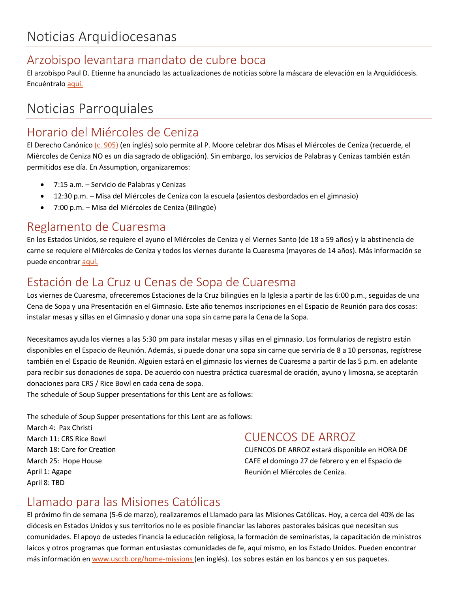## Arzobispo levantara mandato de cubre boca

El arzobispo Paul D. Etienne ha anunciado las actualizaciones de noticias sobre la máscara de elevación en la Arquidiócesis. Encuéntralo [aquí.](https://archseattle.org/wp-content/uploads/2022/02/BE-Proofed.ABE-letter-on-mask-mandate-Final_Spanish.pdf)

# Noticias Parroquiales

## Horario del Miércoles de Ceniza

El Derecho Canónic[o \(c. 905\)](https://www.vatican.va/archive/cod-iuris-canonici/eng/documents/cic_lib4-cann879-958_en.html#Art._1.) (en inglés) solo permite al P. Moore celebrar dos Misas el Miércoles de Ceniza (recuerde, el Miércoles de Ceniza NO es un día sagrado de obligación). Sin embargo, los servicios de Palabras y Cenizas también están permitidos ese día. En Assumption, organizaremos:

- 7:15 a.m. Servicio de Palabras y Cenizas
- 12:30 p.m. Misa del Miércoles de Ceniza con la escuela (asientos desbordados en el gimnasio)
- 7:00 p.m. Misa del Miércoles de Ceniza (Bilingüe)

## Reglamento de Cuaresma

En los Estados Unidos, se requiere el ayuno el Miércoles de Ceniza y el Viernes Santo (de 18 a 59 años) y la abstinencia de carne se requiere el Miércoles de Ceniza y todos los viernes durante la Cuaresma (mayores de 14 años). Más información se puede encontrar [aquí.](https://www.usccb.org/es/prayer-and-worship/liturgical-year-and-calendar/lent/catholic-information-on-lenten-fast-and-abstinence)

## Estación de La Cruz u Cenas de Sopa de Cuaresma

Los viernes de Cuaresma, ofreceremos Estaciones de la Cruz bilingües en la Iglesia a partir de las 6:00 p.m., seguidas de una Cena de Sopa y una Presentación en el Gimnasio. Este año tenemos inscripciones en el Espacio de Reunión para dos cosas: instalar mesas y sillas en el Gimnasio y donar una sopa sin carne para la Cena de la Sopa.

Necesitamos ayuda los viernes a las 5:30 pm para instalar mesas y sillas en el gimnasio. Los formularios de registro están disponibles en el Espacio de Reunión. Además, si puede donar una sopa sin carne que serviría de 8 a 10 personas, regístrese también en el Espacio de Reunión. Alguien estará en el gimnasio los viernes de Cuaresma a partir de las 5 p.m. en adelante para recibir sus donaciones de sopa. De acuerdo con nuestra práctica cuaresmal de oración, ayuno y limosna, se aceptarán donaciones para CRS / Rice Bowl en cada cena de sopa.

The schedule of Soup Supper presentations for this Lent are as follows:

The schedule of Soup Supper presentations for this Lent are as follows:

March 4: Pax Christi March 11: CRS Rice Bowl March 18: Care for Creation March 25: Hope House April 1: Agape April 8: TBD

## CUENCOS DE ARROZ

CUENCOS DE ARROZ estará disponible en HORA DE CAFE el domingo 27 de febrero y en el Espacio de Reunión el Miércoles de Ceniza.

## Llamado para las Misiones Católicas

El próximo fin de semana (5-6 de marzo), realizaremos el Llamado para las Misiones Católicas. Hoy, a cerca del 40% de las diócesis en Estados Unidos y sus territorios no le es posible financiar las labores pastorales básicas que necesitan sus comunidades. El apoyo de ustedes financia la educación religiosa, la formación de seminaristas, la capacitación de ministros laicos y otros programas que forman entusiastas comunidades de fe, aquí mismo, en los Estado Unidos. Pueden encontrar más información en [www.usccb.org/home-missions](http://www.usccb.org/home-missions) (en inglés). Los sobres están en los bancos y en sus paquetes.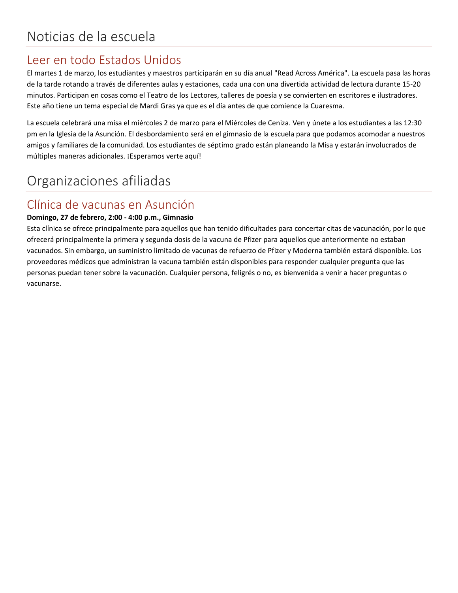## Leer en todo Estados Unidos

El martes 1 de marzo, los estudiantes y maestros participarán en su día anual "Read Across América". La escuela pasa las horas de la tarde rotando a través de diferentes aulas y estaciones, cada una con una divertida actividad de lectura durante 15-20 minutos. Participan en cosas como el Teatro de los Lectores, talleres de poesía y se convierten en escritores e ilustradores. Este año tiene un tema especial de Mardi Gras ya que es el día antes de que comience la Cuaresma.

La escuela celebrará una misa el miércoles 2 de marzo para el Miércoles de Ceniza. Ven y únete a los estudiantes a las 12:30 pm en la Iglesia de la Asunción. El desbordamiento será en el gimnasio de la escuela para que podamos acomodar a nuestros amigos y familiares de la comunidad. Los estudiantes de séptimo grado están planeando la Misa y estarán involucrados de múltiples maneras adicionales. ¡Esperamos verte aquí!

# Organizaciones afiliadas

## Clínica de vacunas en Asunción

#### **Domingo, 27 de febrero, 2:00 - 4:00 p.m., Gimnasio**

Esta clínica se ofrece principalmente para aquellos que han tenido dificultades para concertar citas de vacunación, por lo que ofrecerá principalmente la primera y segunda dosis de la vacuna de Pfizer para aquellos que anteriormente no estaban vacunados. Sin embargo, un suministro limitado de vacunas de refuerzo de Pfizer y Moderna también estará disponible. Los proveedores médicos que administran la vacuna también están disponibles para responder cualquier pregunta que las personas puedan tener sobre la vacunación. Cualquier persona, feligrés o no, es bienvenida a venir a hacer preguntas o vacunarse.